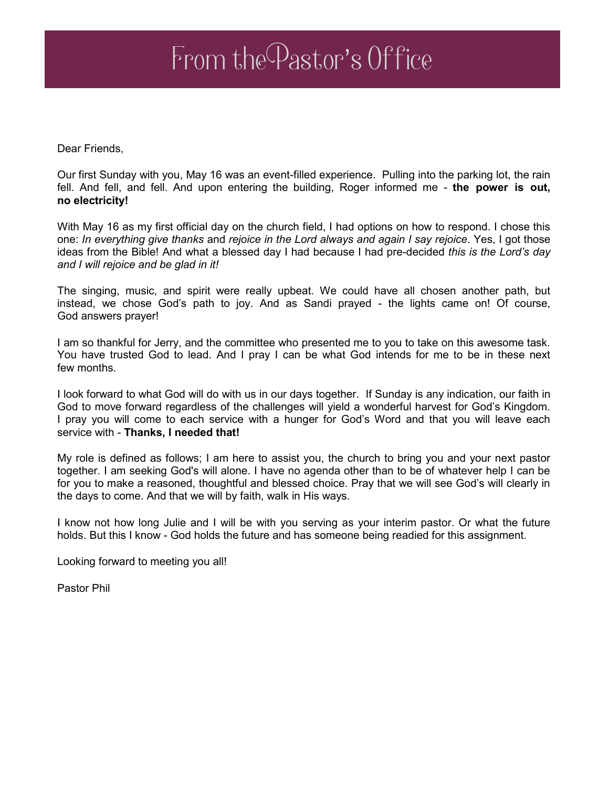# From the Pastor's Office

Dear Friends,

Our first Sunday with you, May 16 was an event-filled experience. Pulling into the parking lot, the rain fell. And fell, and fell. And upon entering the building, Roger informed me - **the power is out, no electricity!**

With May 16 as my first official day on the church field, I had options on how to respond. I chose this one: *In everything give thanks* and *rejoice in the Lord always and again I say rejoice*. Yes, I got those ideas from the Bible! And what a blessed day I had because I had pre-decided *this is the Lord's day and I will rejoice and be glad in it!*

The singing, music, and spirit were really upbeat. We could have all chosen another path, but instead, we chose God's path to joy. And as Sandi prayed - the lights came on! Of course, God answers prayer!

I am so thankful for Jerry, and the committee who presented me to you to take on this awesome task. You have trusted God to lead. And I pray I can be what God intends for me to be in these next few months.

I look forward to what God will do with us in our days together. If Sunday is any indication, our faith in God to move forward regardless of the challenges will yield a wonderful harvest for God's Kingdom. I pray you will come to each service with a hunger for God's Word and that you will leave each service with - **Thanks, I needed that!**

My role is defined as follows; I am here to assist you, the church to bring you and your next pastor together. I am seeking God's will alone. I have no agenda other than to be of whatever help I can be for you to make a reasoned, thoughtful and blessed choice. Pray that we will see God's will clearly in the days to come. And that we will by faith, walk in His ways.

I know not how long Julie and I will be with you serving as your interim pastor. Or what the future holds. But this I know - God holds the future and has someone being readied for this assignment.

Looking forward to meeting you all!

Pastor Phil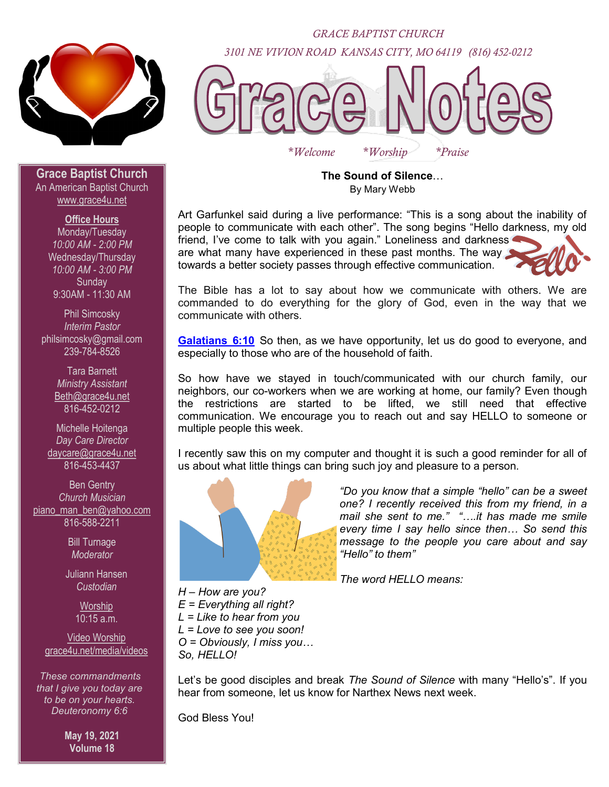

*GRACE BAPTIST CHURCH 3101 NE VIVION ROAD KANSAS CITY, MO 64119 (816) 452-0212* 



*\*Welcome \*Worship \*Praise*

**The Sound of Silence**… By Mary Webb

Art Garfunkel said during a live performance: "This is a song about the inability of people to communicate with each other". The song begins "Hello darkness, my old friend, I've come to talk with you again." Loneliness and darkness

are what many have experienced in these past months. The way towards a better society passes through effective communication.



The Bible has a lot to say about how we communicate with others. We are commanded to do everything for the glory of God, even in the way that we communicate with others.

**[Galatians 6:10](https://www.biblegateway.com/passage/?search=Galatians+6%3A10&version=ESV)** So then, as we have opportunity, let us do good to everyone, and especially to those who are of the household of faith.

So how have we stayed in touch/communicated with our church family, our neighbors, our co-workers when we are working at home, our family? Even though the restrictions are started to be lifted, we still need that effective communication. We encourage you to reach out and say HELLO to someone or multiple people this week.

I recently saw this on my computer and thought it is such a good reminder for all of us about what little things can bring such joy and pleasure to a person.



*"Do you know that a simple "hello" can be a sweet one? I recently received this from my friend, in a mail she sent to me." "….it has made me smile every time I say hello since then… So send this message to the people you care about and say "Hello" to them"*

*The word HELLO means:*

**Grace Baptist Church** An American Baptist Church [www.grace4u.net](http://www.grace4u.net)

#### **Office Hours**

Monday/Tuesday *10:00 AM - 2:00 PM* Wednesday/Thursday *10:00 AM - 3:00 PM* **Sunday** 9:30AM - 11:30 AM

Phil Simcosky *Interim Pastor* philsimcosky@gmail.com 239-784-8526

> Tara Barnett *Ministry Assistant* [Beth@grace4u.net](mailto:Beth@grace4u.net) 816-452-0212

Michelle Hoitenga *Day Care Director* [daycare@grace4u.net](mailto:daycare@grace4u.net) 816-453-4437

Ben Gentry *Church Musician* [piano\\_man\\_ben@yahoo.com](mailto:piano_man_ben@yahoo.com) 816-588-2211

> Bill Turnage *Moderator*

Juliann Hansen *Custodian*

> **Worship** 10:15 a.m.

Video Worship [grace4u.net/media/videos](http://grace4u.net/media/videos)

*These commandments that I give you today are to be on your hearts. Deuteronomy 6:6*

> **May 19, 2021 Volume 18**

*H – How are you? E = Everything all right? L = Like to hear from you L = Love to see you soon! O = Obviously, I miss you… So, HELLO!*

Let's be good disciples and break *The Sound of Silence* with many "Hello's". If you hear from someone, let us know for Narthex News next week.

God Bless You!